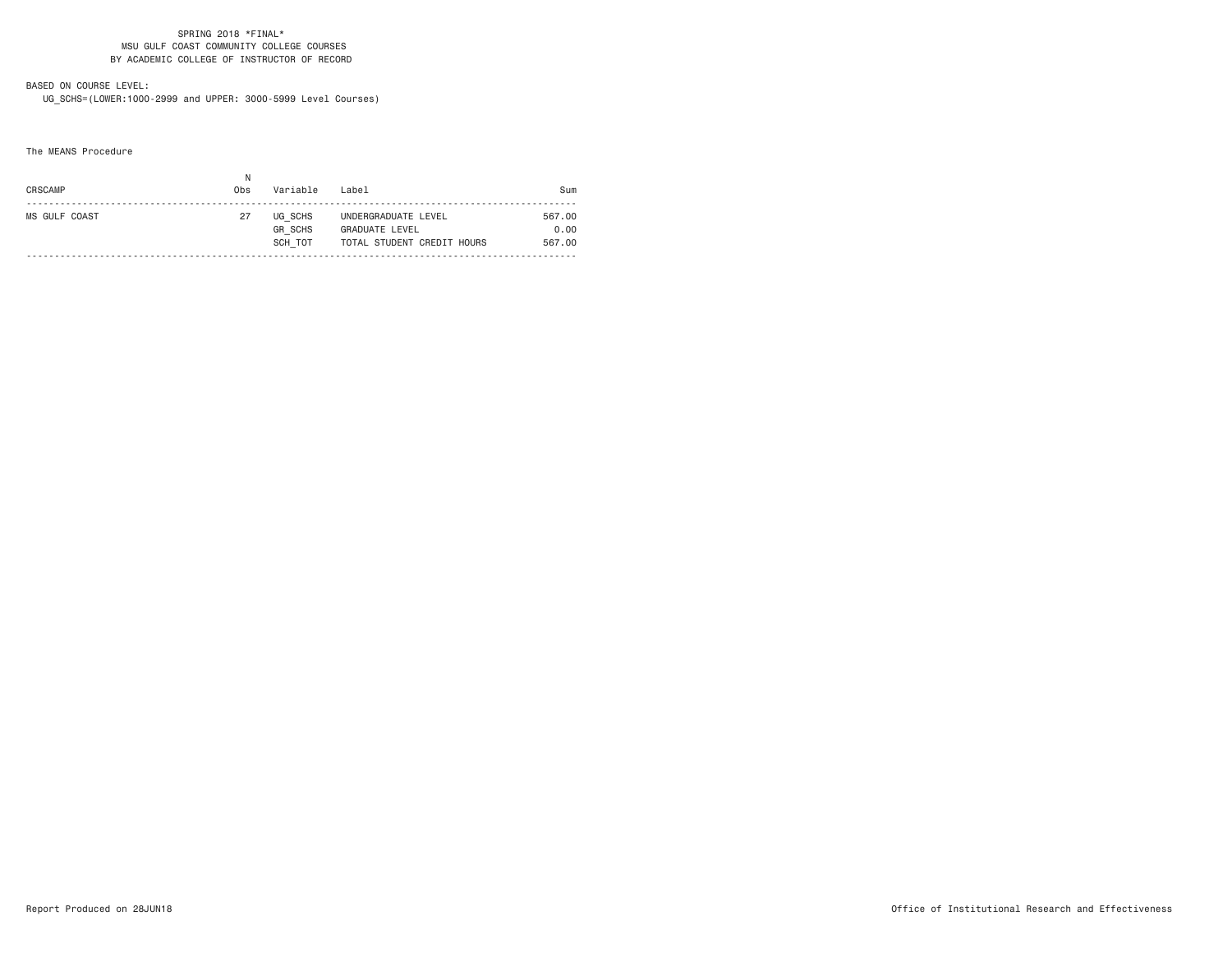# BASED ON COURSE LEVEL:

UG\_SCHS=(LOWER:1000-2999 and UPPER: 3000-5999 Level Courses)

The MEANS Procedure

| CRSCAMP       | Obs | Variable                             | Label                                                               | Sum                      |
|---------------|-----|--------------------------------------|---------------------------------------------------------------------|--------------------------|
| MS GULF COAST | 27  | UG SCHS<br><b>GR SCHS</b><br>SCH TOT | UNDERGRADUATE LEVEL<br>GRADUATE LEVEL<br>TOTAL STUDENT CREDIT HOURS | 567.00<br>0.00<br>567.00 |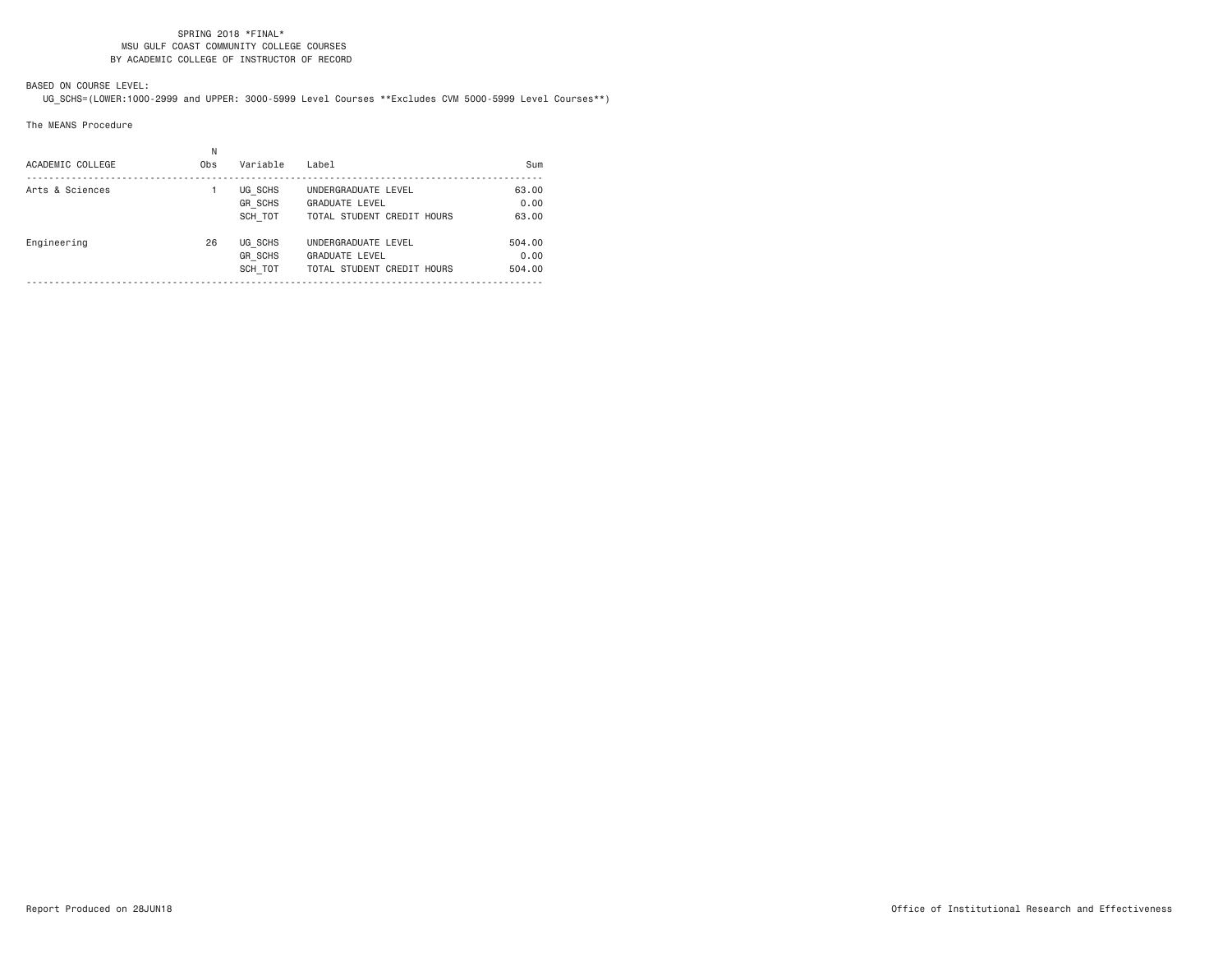# BASED ON COURSE LEVEL:

UG\_SCHS=(LOWER:1000-2999 and UPPER: 3000-5999 Level Courses \*\*Excludes CVM 5000-5999 Level Courses\*\*)

The MEANS Procedure

| ACADEMIC COLLEGE | N<br>0 <sub>bs</sub> | Variable                             | Label                                                                      | Sum                      |
|------------------|----------------------|--------------------------------------|----------------------------------------------------------------------------|--------------------------|
| Arts & Sciences  |                      | UG SCHS<br><b>GR SCHS</b><br>SCH TOT | UNDERGRADUATE LEVEL<br><b>GRADUATE LEVEL</b><br>TOTAL STUDENT CREDIT HOURS | 63.00<br>0.00<br>63.00   |
| Engineering      | 26                   | UG SCHS<br><b>GR SCHS</b><br>SCH TOT | UNDERGRADUATE LEVEL<br><b>GRADUATE LEVEL</b><br>TOTAL STUDENT CREDIT HOURS | 504.00<br>0.00<br>504.00 |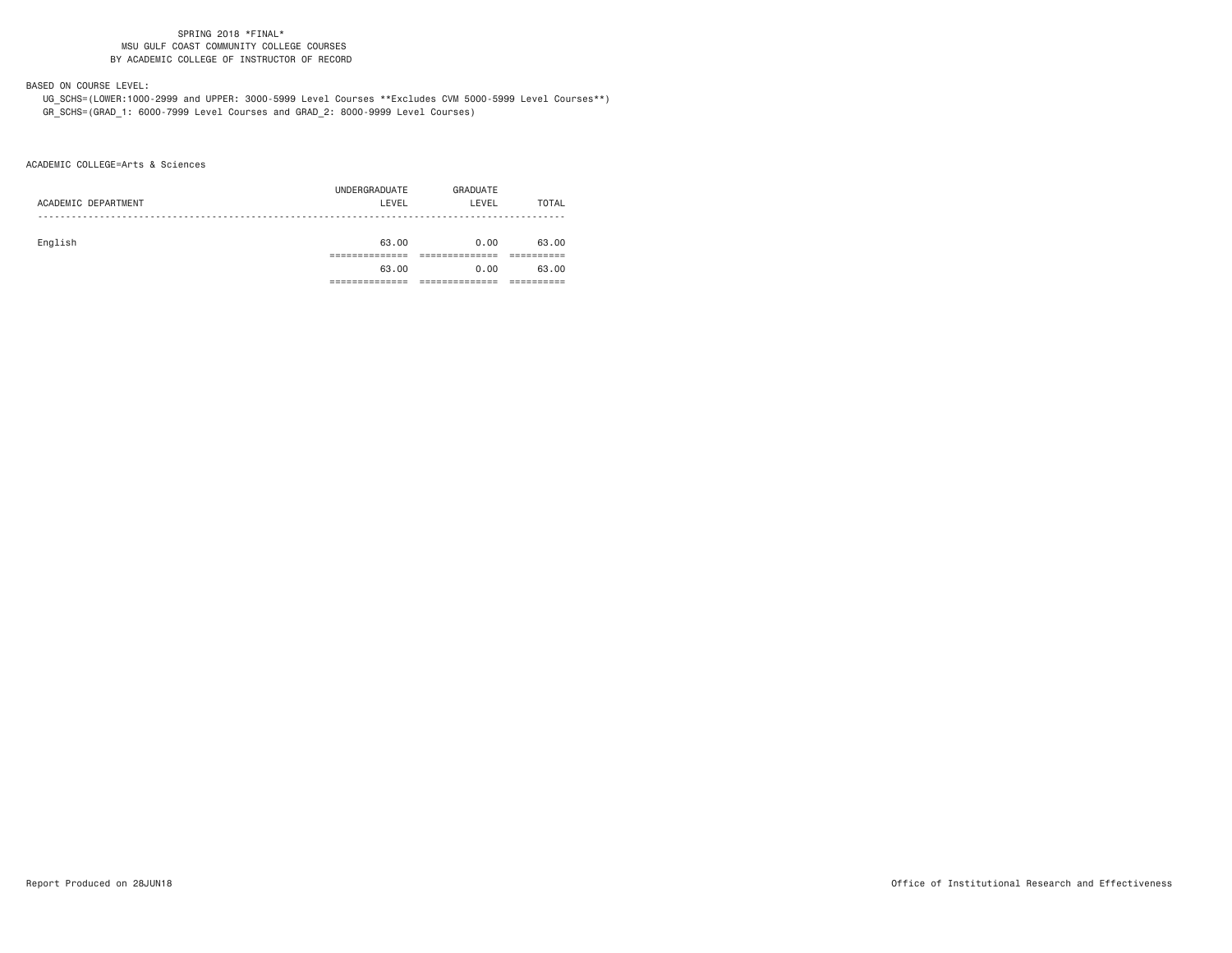# BASED ON COURSE LEVEL:

 UG\_SCHS=(LOWER:1000-2999 and UPPER: 3000-5999 Level Courses \*\*Excludes CVM 5000-5999 Level Courses\*\*) GR\_SCHS=(GRAD\_1: 6000-7999 Level Courses and GRAD\_2: 8000-9999 Level Courses)

ACADEMIC COLLEGE=Arts & Sciences

|                     | UNDERGRADUATE | GRADUATE |       |
|---------------------|---------------|----------|-------|
| ACADEMIC DEPARTMENT | LEVEL         | LEVEL    | TOTAL |
|                     |               |          |       |
|                     |               |          |       |
| English             | 63.00         | 0.00     | 63.00 |
|                     |               |          |       |
|                     | 63.00         | 0.00     | 63.00 |
|                     |               |          |       |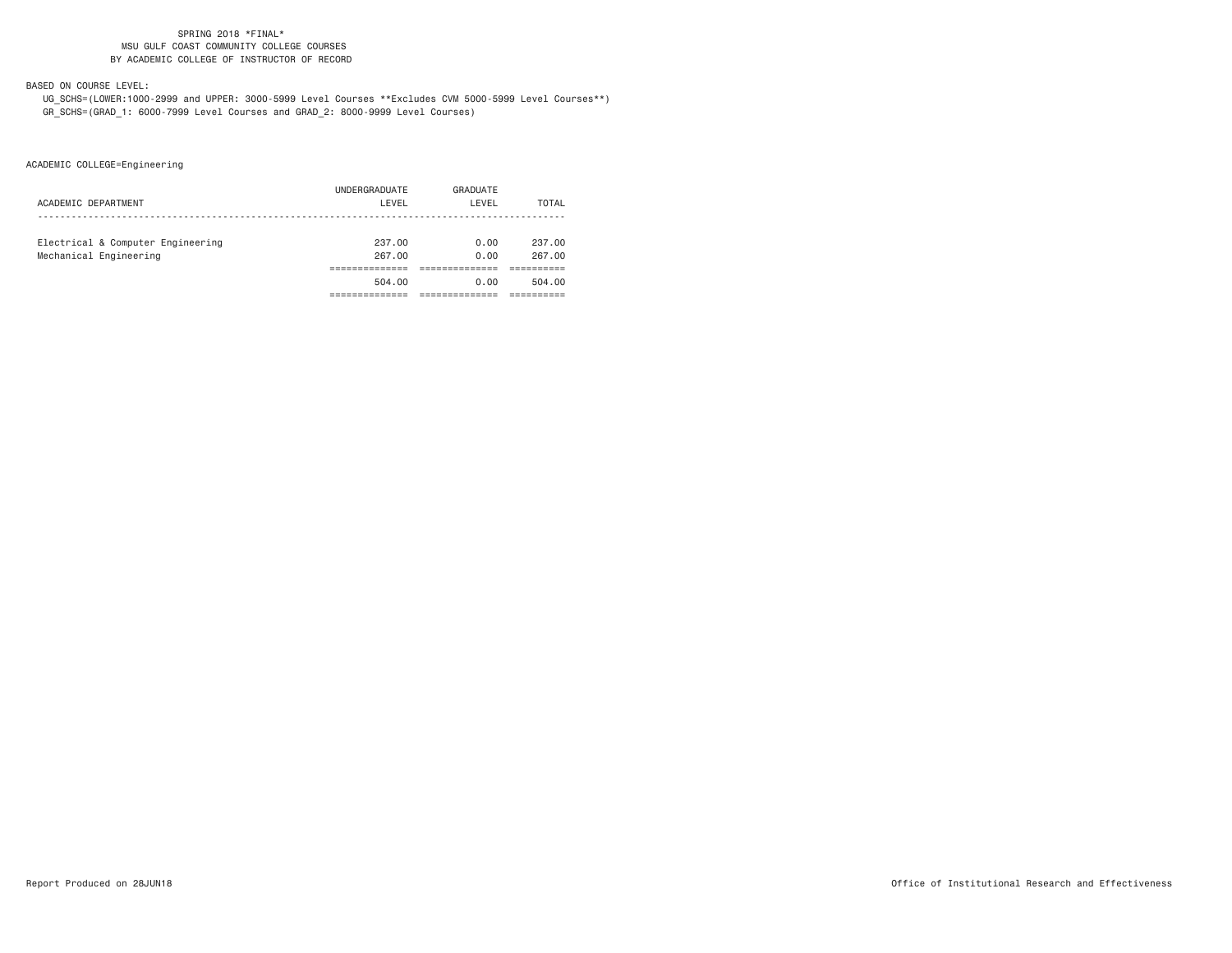## BASED ON COURSE LEVEL:

 UG\_SCHS=(LOWER:1000-2999 and UPPER: 3000-5999 Level Courses \*\*Excludes CVM 5000-5999 Level Courses\*\*) GR\_SCHS=(GRAD\_1: 6000-7999 Level Courses and GRAD\_2: 8000-9999 Level Courses)

ACADEMIC COLLEGE=Engineering

| 504.00        | 0.00     | 504.00 |
|---------------|----------|--------|
|               |          |        |
|               |          |        |
| 267.00        | 0.00     | 267.00 |
| 237.00        | 0.00     | 237.00 |
|               |          |        |
| LEVEL         | LEVEL    | TOTAL  |
| UNDERGRADUATE | GRADUATE |        |
|               |          |        |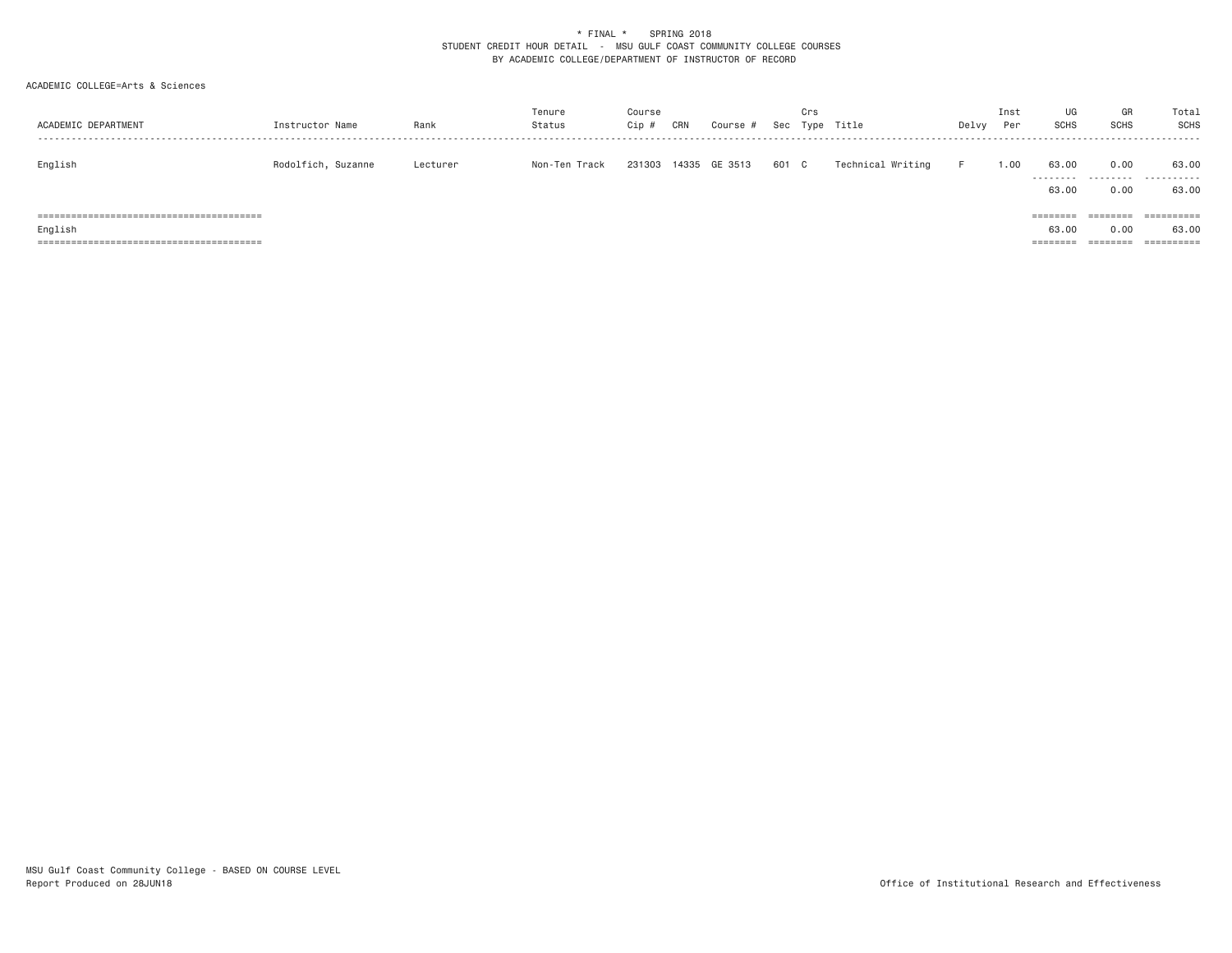### \* FINAL \* SPRING 2018 STUDENT CREDIT HOUR DETAIL - MSU GULF COAST COMMUNITY COLLEGE COURSES BY ACADEMIC COLLEGE/DEPARTMENT OF INSTRUCTOR OF RECORD

### ACADEMIC COLLEGE=Arts & Sciences

| ACADEMIC DEPARTMENT | Instructor Name    | Rank     | Tenure<br>Status | Course<br>Cip # | CRN | Course #      |       | Crs | Sec Type Title    | Delvy | Inst<br>Per | UG<br>SCHS                             | GR<br><b>SCHS</b>            | Total<br><b>SCHS</b>              |
|---------------------|--------------------|----------|------------------|-----------------|-----|---------------|-------|-----|-------------------|-------|-------------|----------------------------------------|------------------------------|-----------------------------------|
| English             | Rodolfich, Suzanne | Lecturer | Non-Ten Track    | 231303          |     | 14335 GE 3513 | 601 C |     | Technical Writing |       | 1.00        | 63.00<br>---------<br>63,00            | 0.00<br>0.00                 | 63.00<br>63,00                    |
| English             |                    |          |                  |                 |     |               |       |     |                   |       |             | $=$ = = = = = = =<br>63,00<br>======== | ========<br>0.00<br>======== | ==========<br>63,00<br>========== |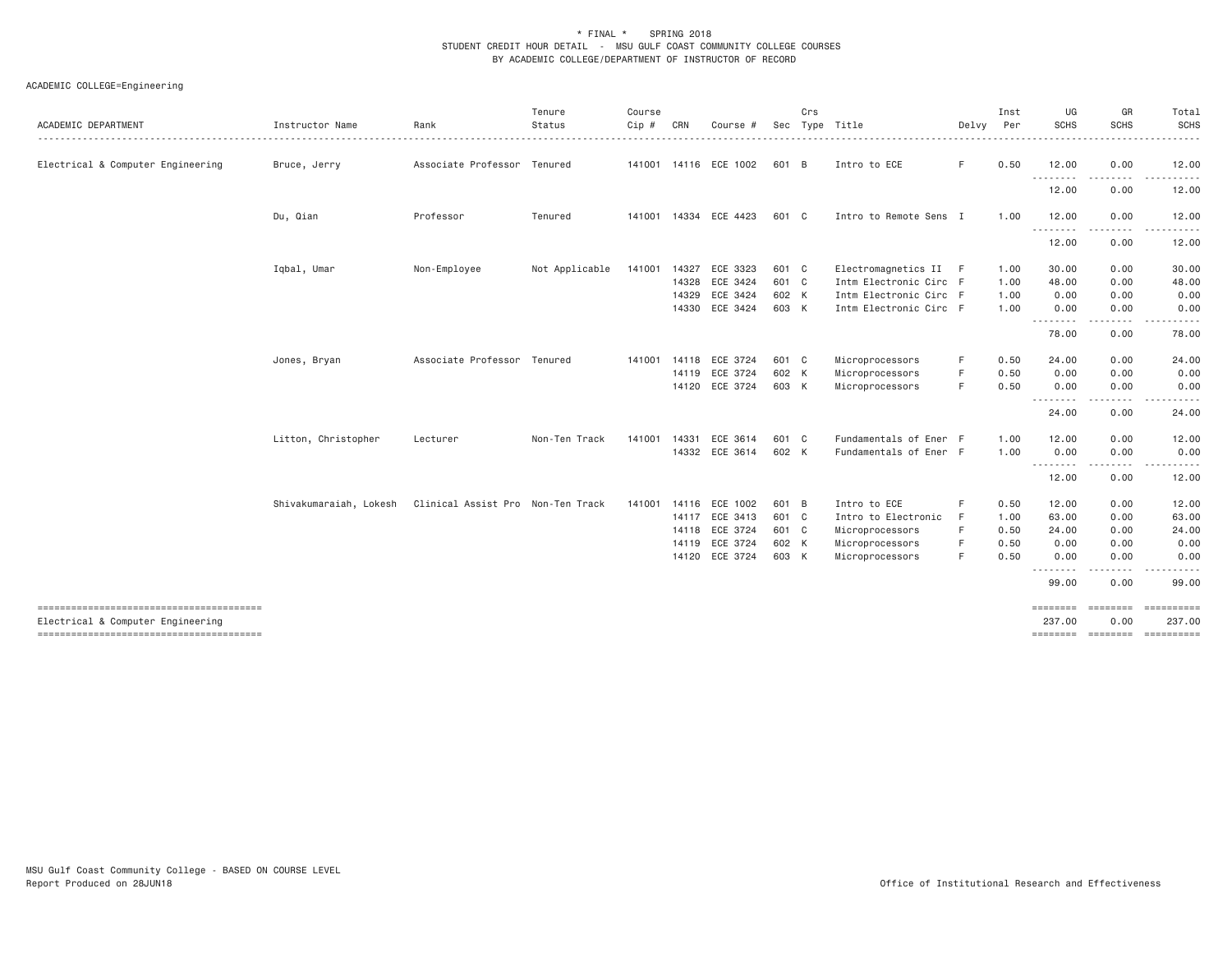### \* FINAL \* SPRING 2018 STUDENT CREDIT HOUR DETAIL - MSU GULF COAST COMMUNITY COLLEGE COURSES BY ACADEMIC COLLEGE/DEPARTMENT OF INSTRUCTOR OF RECORD

# ACADEMIC COLLEGE=Engineering

| ACADEMIC DEPARTMENT                    | Instructor Name        | Rank                              | Tenure<br>Status | Course<br>Cip # | CRN   | Course #                 |       | Crs | Sec Type Title         | Delvy | Inst<br>Per | UG<br>SCHS        | GR<br><b>SCHS</b>                                                                                                                                                                       | Total<br><b>SCHS</b><br>. <u>.</u> |
|----------------------------------------|------------------------|-----------------------------------|------------------|-----------------|-------|--------------------------|-------|-----|------------------------|-------|-------------|-------------------|-----------------------------------------------------------------------------------------------------------------------------------------------------------------------------------------|------------------------------------|
| Electrical & Computer Engineering      | Bruce, Jerry           | Associate Professor Tenured       |                  |                 |       | 141001  14116  ECE  1002 | 601 B |     | Intro to ECE           | F.    | 0.50        | 12.00             | 0.00                                                                                                                                                                                    | 12.00                              |
|                                        |                        |                                   |                  |                 |       |                          |       |     |                        |       |             | .<br>12.00        | 0.00                                                                                                                                                                                    | 12.00                              |
|                                        | Du, Qian               | Professor                         | Tenured          |                 |       | 141001  14334  ECE  4423 | 601 C |     | Intro to Remote Sens I |       | 1.00        | 12.00<br><u>.</u> | 0.00                                                                                                                                                                                    | 12.00                              |
|                                        |                        |                                   |                  |                 |       |                          |       |     |                        |       |             | 12.00             | 0.00                                                                                                                                                                                    | 12.00                              |
|                                        | Iqbal, Umar            | Non-Employee                      | Not Applicable   |                 |       | 141001  14327  ECE  3323 | 601 C |     | Electromagnetics II F  |       | 1.00        | 30.00             | 0.00                                                                                                                                                                                    | 30.00                              |
|                                        |                        |                                   |                  |                 |       | 14328 ECE 3424           | 601 C |     | Intm Electronic Circ F |       | 1.00        | 48.00             | 0.00                                                                                                                                                                                    | 48.00                              |
|                                        |                        |                                   |                  |                 | 14329 | ECE 3424                 | 602 K |     | Intm Electronic Circ F |       | 1.00        | 0.00              | 0.00                                                                                                                                                                                    | 0.00                               |
|                                        |                        |                                   |                  |                 |       | 14330 ECE 3424           | 603 K |     | Intm Electronic Circ F |       | 1.00        | 0.00<br>.         | 0.00<br>.                                                                                                                                                                               | 0.00<br>.                          |
|                                        |                        |                                   |                  |                 |       |                          |       |     |                        |       |             | 78.00             | 0.00                                                                                                                                                                                    | 78.00                              |
|                                        | Jones, Bryan           | Associate Professor Tenured       |                  |                 |       | 141001  14118  ECE  3724 | 601 C |     | Microprocessors        | F     | 0.50        | 24.00             | 0.00                                                                                                                                                                                    | 24.00                              |
|                                        |                        |                                   |                  |                 |       | 14119 ECE 3724           | 602 K |     | Microprocessors        | F     | 0.50        | 0.00              | 0.00                                                                                                                                                                                    | 0.00                               |
|                                        |                        |                                   |                  |                 |       | 14120 ECE 3724           | 603 K |     | Microprocessors        | F     | 0.50        | 0.00<br>--------  | 0.00<br>.                                                                                                                                                                               | 0.00                               |
|                                        |                        |                                   |                  |                 |       |                          |       |     |                        |       |             | 24.00             | 0.00                                                                                                                                                                                    | 24.00                              |
|                                        | Litton, Christopher    | Lecturer                          | Non-Ten Track    | 141001          | 14331 | ECE 3614                 | 601 C |     | Fundamentals of Ener F |       | 1.00        | 12.00             | 0.00                                                                                                                                                                                    | 12.00                              |
|                                        |                        |                                   |                  |                 |       | 14332 ECE 3614           | 602 K |     | Fundamentals of Ener F |       | 1.00        | 0.00<br>.         | 0.00<br>$\frac{1}{2} \left( \frac{1}{2} \right) \left( \frac{1}{2} \right) \left( \frac{1}{2} \right) \left( \frac{1}{2} \right) \left( \frac{1}{2} \right) \left( \frac{1}{2} \right)$ | 0.00<br>.                          |
|                                        |                        |                                   |                  |                 |       |                          |       |     |                        |       |             | 12.00             | 0.00                                                                                                                                                                                    | 12.00                              |
|                                        | Shivakumaraiah, Lokesh | Clinical Assist Pro Non-Ten Track |                  |                 |       | 141001 14116 ECE 1002    | 601 B |     | Intro to ECE           | F     | 0.50        | 12.00             | 0.00                                                                                                                                                                                    | 12.00                              |
|                                        |                        |                                   |                  |                 |       | 14117 ECE 3413           | 601 C |     | Intro to Electronic    | F     | 1.00        | 63.00             | 0.00                                                                                                                                                                                    | 63.00                              |
|                                        |                        |                                   |                  |                 |       | 14118 ECE 3724           | 601 C |     | Microprocessors        | F     | 0.50        | 24.00             | 0.00                                                                                                                                                                                    | 24.00                              |
|                                        |                        |                                   |                  |                 |       | 14119 ECE 3724           | 602 K |     | Microprocessors        | F     | 0.50        | 0.00              | 0.00                                                                                                                                                                                    | 0.00                               |
|                                        |                        |                                   |                  |                 |       | 14120 ECE 3724           | 603 K |     | Microprocessors        | F     | 0.50        | 0.00<br>$\cdots$  | 0.00                                                                                                                                                                                    | 0.00                               |
|                                        |                        |                                   |                  |                 |       |                          |       |     |                        |       |             | 99.00             | 0.00                                                                                                                                                                                    | 99.00                              |
| -------------------------------------- |                        |                                   |                  |                 |       |                          |       |     |                        |       |             | ========          | <b>ESSESSES</b>                                                                                                                                                                         |                                    |
| Electrical & Computer Engineering      |                        |                                   |                  |                 |       |                          |       |     |                        |       |             | 237.00            | 0.00                                                                                                                                                                                    | 237.00                             |
|                                        |                        |                                   |                  |                 |       |                          |       |     |                        |       |             |                   |                                                                                                                                                                                         |                                    |